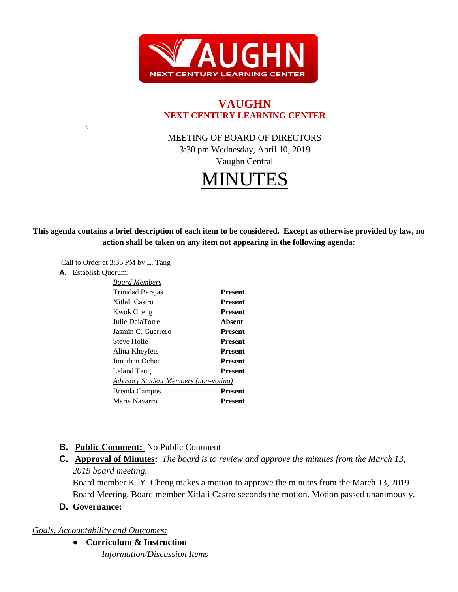



**This agenda contains a brief description of each item to be considered. Except as otherwise provided by law, no action shall be taken on any item not appearing in the following agenda:**

Call to Order at 3:35 PM by L. Tang

**A.** Establish Quorum:

 $\setminus$ 

| <b>Board Members</b>                  |                |
|---------------------------------------|----------------|
| Trinidad Barajas                      | <b>Present</b> |
| Xitlali Castro                        | <b>Present</b> |
| Kwok Cheng                            | <b>Present</b> |
| Julie DelaTorre                       | Absent         |
| Jasmin C. Guerrero                    | <b>Present</b> |
| Steve Holle                           | <b>Present</b> |
| Alina Kheyfets                        | <b>Present</b> |
| Jonathan Ochoa                        | <b>Present</b> |
| Leland Tang                           | <b>Present</b> |
| Advisory Student Members (non-voting) |                |
| Brenda Campos                         | <b>Present</b> |
| Maria Navarro                         | Present        |
|                                       |                |

# **B. Public Comment:** No Public Comment

**C. Approval of Minutes:** *The board is to review and approve the minutes from the March 13, 2019 board meeting.*

Board member K. Y. Cheng makes a motion to approve the minutes from the March 13, 2019 Board Meeting. Board member Xitlali Castro seconds the motion. Motion passed unanimously.

## **D. Governance:**

*Goals, Accountability and Outcomes:*

● **Curriculum & Instruction** *Information/Discussion Items*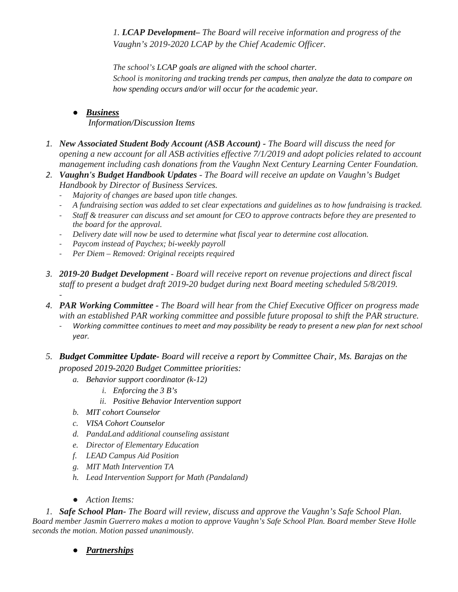*1. LCAP Development– The Board will receive information and progress of the Vaughn's 2019-2020 LCAP by the Chief Academic Officer.* 

*The school's LCAP goals are aligned with the school charter. School is monitoring and tracking trends per campus, then analyze the data to compare on how spending occurs and/or will occur for the academic year.*

# ● *Business Information/Discussion Items*

- *1. New Associated Student Body Account (ASB Account) - The Board will discuss the need for opening a new account for all ASB activities effective 7/1/2019 and adopt policies related to account management including cash donations from the Vaughn Next Century Learning Center Foundation.*
- *2. Vaughn's Budget Handbook Updates - The Board will receive an update on Vaughn's Budget Handbook by Director of Business Services.*
	- *Majority of changes are based upon title changes.*
	- *A fundraising section was added to set clear expectations and guidelines as to how fundraising is tracked.*
	- *Staff & treasurer can discuss and set amount for CEO to approve contracts before they are presented to the board for the approval.*
	- *Delivery date will now be used to determine what fiscal year to determine cost allocation.*
	- *Paycom instead of Paychex; bi-weekly payroll*
	- *Per Diem – Removed: Original receipts required*
- *3. 2019-20 Budget Development - Board will receive report on revenue projections and direct fiscal staff to present a budget draft 2019-20 budget during next Board meeting scheduled 5/8/2019.*
- *4. PAR Working Committee - The Board will hear from the Chief Executive Officer on progress made with an established PAR working committee and possible future proposal to shift the PAR structure.*
	- *Working committee continues to meet and may possibility be ready to present a new plan for next school year.*
- *5. Budget Committee Update- Board will receive a report by Committee Chair, Ms. Barajas on the proposed 2019-2020 Budget Committee priorities:*
	- *a. Behavior support coordinator (k-12)*
		- *i. Enforcing the 3 B's*
		- *ii. Positive Behavior Intervention support*
	- *b. MIT cohort Counselor*
	- *c. VISA Cohort Counselor*
	- *d. PandaLand additional counseling assistant*
	- *e. Director of Elementary Education*
	- *f. LEAD Campus Aid Position*
	- *g. MIT Math Intervention TA*
	- *h. Lead Intervention Support for Math (Pandaland)*
	- *Action Items:*

*1. Safe School Plan- The Board will review, discuss and approve the Vaughn's Safe School Plan. Board member Jasmin Guerrero makes a motion to approve Vaughn's Safe School Plan. Board member Steve Holle seconds the motion. Motion passed unanimously.*

● *Partnerships*